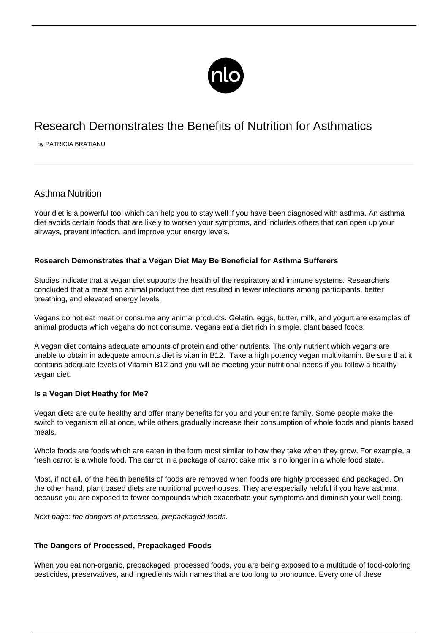

# Research Demonstrates the Benefits of Nutrition for Asthmatics

by PATRICIA BRATIANU

# Asthma Nutrition

Your diet is a powerful tool which can help you to stay well if you have been diagnosed with asthma. An asthma diet avoids certain foods that are likely to worsen your symptoms, and includes others that can open up your airways, prevent infection, and improve your energy levels.

# **Research Demonstrates that a Vegan Diet May Be Beneficial for Asthma Sufferers**

Studies indicate that a vegan diet supports the health of the respiratory and immune systems. Researchers concluded that a meat and animal product free diet resulted in fewer infections among participants, better breathing, and elevated energy levels.

Vegans do not eat meat or consume any animal products. Gelatin, eggs, butter, milk, and yogurt are examples of animal products which vegans do not consume. Vegans eat a diet rich in simple, plant based foods.

A vegan diet contains adequate amounts of protein and other nutrients. The only nutrient which vegans are unable to obtain in adequate amounts diet is vitamin B12. Take a high potency vegan multivitamin. Be sure that it contains adequate levels of Vitamin B12 and you will be meeting your nutritional needs if you follow a healthy vegan diet.

### **Is a Vegan Diet Heathy for Me?**

Vegan diets are quite healthy and offer many benefits for you and your entire family. Some people make the switch to veganism all at once, while others gradually increase their consumption of whole foods and plants based meals.

Whole foods are foods which are eaten in the form most similar to how they take when they grow. For example, a fresh carrot is a whole food. The carrot in a package of carrot cake mix is no longer in a whole food state.

Most, if not all, of the health benefits of foods are removed when foods are highly processed and packaged. On the other hand, plant based diets are nutritional powerhouses. They are especially helpful if you have asthma because you are exposed to fewer compounds which exacerbate your symptoms and diminish your well-being.

Next page: the dangers of processed, prepackaged foods.

### **The Dangers of Processed, Prepackaged Foods**

When you eat non-organic, prepackaged, processed foods, you are being exposed to a multitude of food-coloring pesticides, preservatives, and ingredients with names that are too long to pronounce. Every one of these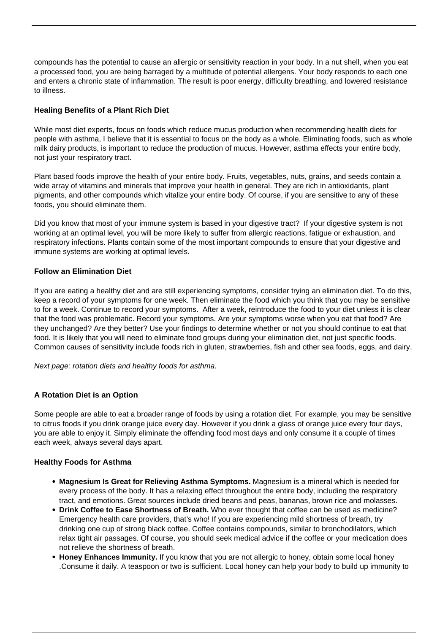compounds has the potential to cause an allergic or sensitivity reaction in your body. In a nut shell, when you eat a processed food, you are being barraged by a multitude of [potential allergens](/exacerbation-of-asthma-with-exposure-to-allergens/). Your body responds to each one and enters a chronic state of inflammation. The result is poor energy, difficulty breathing, and lowered resistance to illness.

# **Healing Benefits of a Plant Rich Diet**

While most diet experts, focus on foods which reduce mucus production when recommending health diets for people with asthma, I believe that it is essential to focus on the body as a whole. Eliminating foods, such as whole milk dairy products, is important to reduce the production of mucus. However, asthma effects your entire body, not just your respiratory tract.

Plant based foods improve the health of your entire body. Fruits, vegetables, nuts, grains, and seeds contain a wide array of vitamins and minerals that improve your health in general. They are rich in antioxidants, plant pigments, and other compounds which vitalize your entire body. Of course, if you are sensitive to any of these foods, you should eliminate them.

Did you know that most of your immune system is based in your digestive tract? If your digestive system is not working at an optimal level, you will be more likely to suffer from allergic reactions, [fatigue or exhaustion,](/asthma-fatigue/) and respiratory infections. Plants contain some of the most important compounds to ensure that your digestive and immune systems are working at optimal levels.

# **Follow an Elimination Diet**

If you are eating a healthy diet and are still experiencing symptoms, consider trying an elimination diet. To do this, keep a record of your symptoms for one week. Then eliminate the food which you think that you may be sensitive to for a week. Continue to record your symptoms. After a week, reintroduce the food to your diet unless it is clear that the food was problematic. Record your symptoms. Are your symptoms worse when you eat that food? Are they unchanged? Are they better? Use your findings to determine whether or not you should continue to eat that food. It is likely that you will need to eliminate food groups during your elimination diet, not just specific foods. Common causes of sensitivity include foods rich in gluten, strawberries, fish and other sea foods, eggs, and dairy.

Next page: rotation diets and healthy foods for asthma.

# **A Rotation Diet is an Option**

Some people are able to eat a broader range of foods by using a rotation diet. For example, you may be sensitive to citrus foods if you drink orange juice every day. However if you drink a glass of orange juice every four days, you are able to enjoy it. Simply eliminate the offending food most days and only consume it a couple of times each week, always several days apart.

### **Healthy Foods for Asthma**

- **Magnesium Is Great for Relieving Asthma Symptoms.** Magnesium is a mineral which is needed for every process of the body. It has a relaxing effect throughout the entire body, including the respiratory tract, and emotions. Great sources include dried beans and peas, bananas, brown rice and molasses.
- **Drink Coffee to Ease Shortness of Breath.** Who ever thought that coffee can be used as medicine? Emergency health care providers, that's who! If you are experiencing mild shortness of breath, try drinking one cup of strong black coffee. Coffee contains compounds, similar to bronchodilators, which relax tight air passages. Of course, you should seek medical advice if the coffee or your medication does not relieve the shortness of breath.
- **Honey Enhances Immunity.** If you know that you are not allergic to honey, obtain some local honey .Consume it daily. A teaspoon or two is sufficient. Local honey can help your body to build up immunity to